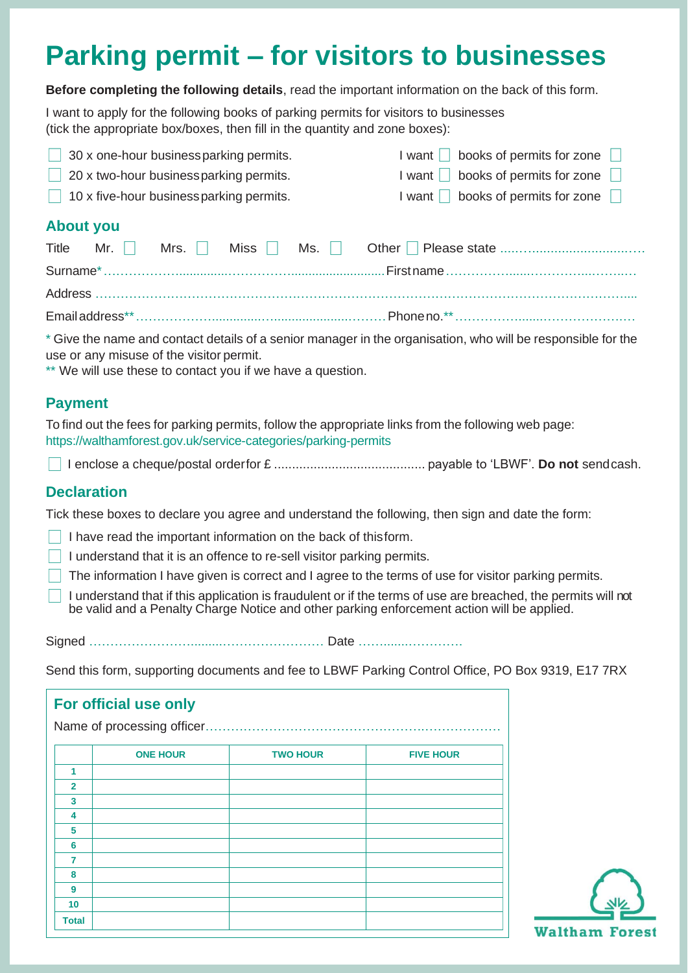# **Parking permit – for visitors to businesses**

**Before completing the following details**, read the important information on the back of this form.

I want to apply for the following books of parking permits for visitors to businesses (tick the appropriate box/boxes, then fill in the quantity and zone boxes):

| 30 x one-hour business parking permits.  | books of permits for zone<br>l want I I |
|------------------------------------------|-----------------------------------------|
| 20 x two-hour businessparking permits.   | books of permits for zone               |
| 10 x five-hour business parking permits. | books of permits for zone<br>l want I   |
| <b>About you</b>                         |                                         |

\* Give the name and contact details of a senior manager in the organisation, who will be responsible for the use or any misuse of the visitor permit.

\*\* We will use these to contact you if we have a question.

#### **Payment**

To find out the fees for parking permits, follow the appropriate links from the following web page: https://walthamforest.gov.uk/service-categories/parking-permits

I enclose a cheque/postal orderfor £ .......................................... payable to 'LBWF'. **Do not** sendcash.

## **Declaration**

Tick these boxes to declare you agree and understand the following, then sign and date the form:

- $\Box$  I have read the important information on the back of thisform.
- $\Box$  I understand that it is an offence to re-sell visitor parking permits.
- $\Box$  The information I have given is correct and I agree to the terms of use for visitor parking permits.
- I understand that if this application is fraudulent or if the terms of use are breached, the permits will not be valid and a Penalty Charge Notice and other parking enforcement action will be applied.

Signed …………………….........…………………… Date …….......………….

Send this form, supporting documents and fee to LBWF Parking Control Office, PO Box 9319, E17 7RX

| For official use only |                            |                 |                  |  |  |  |  |  |
|-----------------------|----------------------------|-----------------|------------------|--|--|--|--|--|
|                       | Name of processing officer |                 |                  |  |  |  |  |  |
|                       | <b>ONE HOUR</b>            | <b>TWO HOUR</b> | <b>FIVE HOUR</b> |  |  |  |  |  |
| 1                     |                            |                 |                  |  |  |  |  |  |
| $\overline{2}$        |                            |                 |                  |  |  |  |  |  |
| 3                     |                            |                 |                  |  |  |  |  |  |
| 4                     |                            |                 |                  |  |  |  |  |  |
| 5                     |                            |                 |                  |  |  |  |  |  |
| 6                     |                            |                 |                  |  |  |  |  |  |
| 7                     |                            |                 |                  |  |  |  |  |  |
| 8                     |                            |                 |                  |  |  |  |  |  |
| 9                     |                            |                 |                  |  |  |  |  |  |
| 10                    |                            |                 |                  |  |  |  |  |  |
| <b>Total</b>          |                            |                 |                  |  |  |  |  |  |